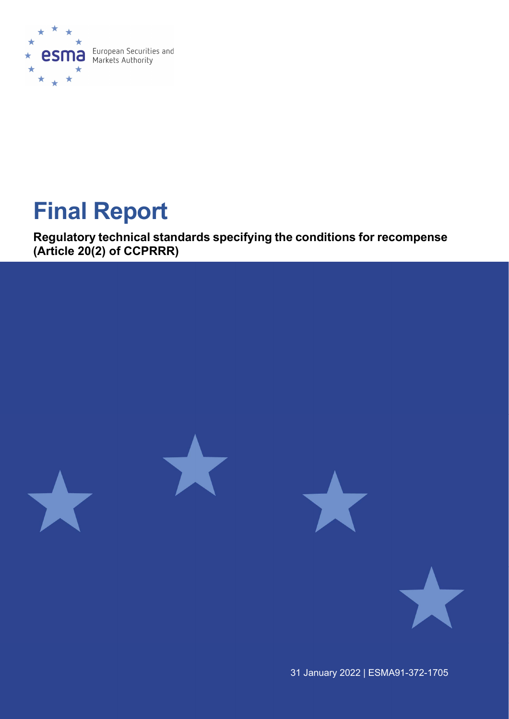

# Final Report

Regulatory technical standards specifying the conditions for recompense (Article 20(2) of CCPRRR)



31 January 2022 | ESMA91-372-1705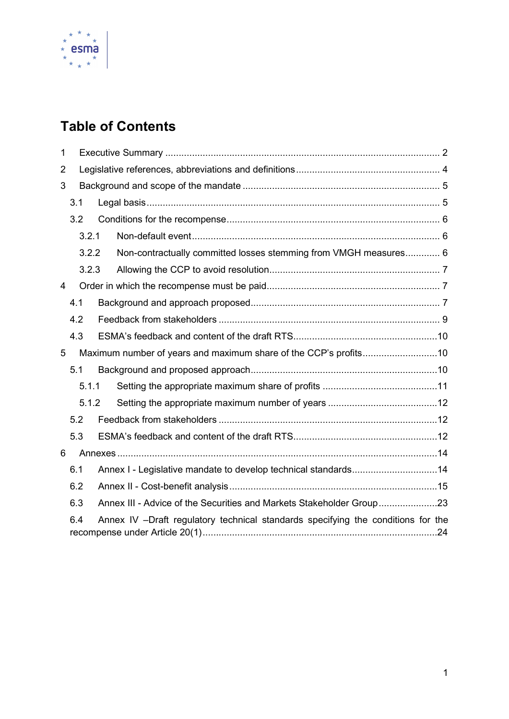

# Table of Contents

| 1              |     |       |  |                                                                                  |  |
|----------------|-----|-------|--|----------------------------------------------------------------------------------|--|
| $\overline{2}$ |     |       |  |                                                                                  |  |
| 3              |     |       |  |                                                                                  |  |
|                | 3.1 |       |  |                                                                                  |  |
|                | 3.2 |       |  |                                                                                  |  |
|                |     | 3.2.1 |  |                                                                                  |  |
|                |     | 3.2.2 |  | Non-contractually committed losses stemming from VMGH measures 6                 |  |
|                |     | 3.2.3 |  |                                                                                  |  |
| 4              |     |       |  |                                                                                  |  |
|                | 4.1 |       |  |                                                                                  |  |
|                | 4.2 |       |  |                                                                                  |  |
|                | 4.3 |       |  |                                                                                  |  |
| 5              |     |       |  |                                                                                  |  |
|                | 5.1 |       |  |                                                                                  |  |
|                |     | 5.1.1 |  |                                                                                  |  |
|                |     | 5.1.2 |  |                                                                                  |  |
|                | 5.2 |       |  |                                                                                  |  |
|                | 5.3 |       |  |                                                                                  |  |
| 6              |     |       |  |                                                                                  |  |
|                | 6.1 |       |  | Annex I - Legislative mandate to develop technical standards14                   |  |
|                | 6.2 |       |  |                                                                                  |  |
|                | 6.3 |       |  | Annex III - Advice of the Securities and Markets Stakeholder Group23             |  |
|                | 6.4 |       |  | Annex IV -Draft regulatory technical standards specifying the conditions for the |  |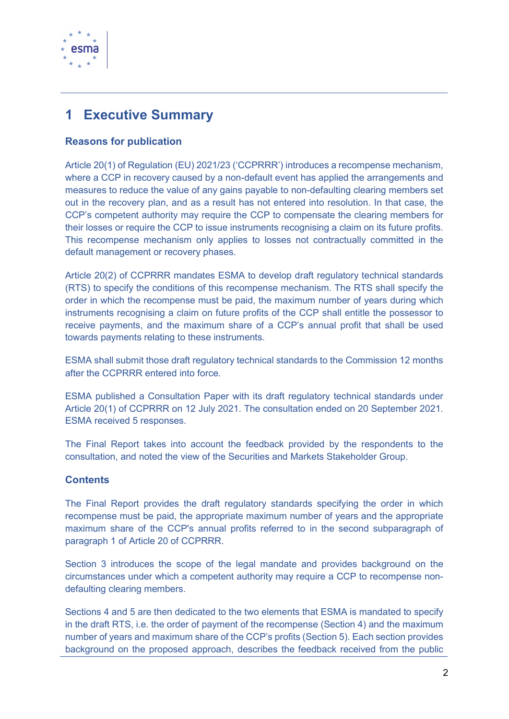

## 1 Executive Summary

### Reasons for publication

Article 20(1) of Regulation (EU) 2021/23 ('CCPRRR') introduces a recompense mechanism, where a CCP in recovery caused by a non-default event has applied the arrangements and measures to reduce the value of any gains payable to non-defaulting clearing members set out in the recovery plan, and as a result has not entered into resolution. In that case, the CCP's competent authority may require the CCP to compensate the clearing members for their losses or require the CCP to issue instruments recognising a claim on its future profits. This recompense mechanism only applies to losses not contractually committed in the default management or recovery phases.

Article 20(2) of CCPRRR mandates ESMA to develop draft regulatory technical standards (RTS) to specify the conditions of this recompense mechanism. The RTS shall specify the order in which the recompense must be paid, the maximum number of years during which instruments recognising a claim on future profits of the CCP shall entitle the possessor to receive payments, and the maximum share of a CCP's annual profit that shall be used towards payments relating to these instruments.

ESMA shall submit those draft regulatory technical standards to the Commission 12 months after the CCPRRR entered into force.

ESMA published a Consultation Paper with its draft regulatory technical standards under Article 20(1) of CCPRRR on 12 July 2021. The consultation ended on 20 September 2021. ESMA received 5 responses.

The Final Report takes into account the feedback provided by the respondents to the consultation, and noted the view of the Securities and Markets Stakeholder Group.

### **Contents**

The Final Report provides the draft regulatory standards specifying the order in which recompense must be paid, the appropriate maximum number of years and the appropriate maximum share of the CCP's annual profits referred to in the second subparagraph of paragraph 1 of Article 20 of CCPRRR.

Section 3 introduces the scope of the legal mandate and provides background on the circumstances under which a competent authority may require a CCP to recompense nondefaulting clearing members.

Sections 4 and 5 are then dedicated to the two elements that ESMA is mandated to specify in the draft RTS, i.e. the order of payment of the recompense (Section 4) and the maximum number of years and maximum share of the CCP's profits (Section 5). Each section provides background on the proposed approach, describes the feedback received from the public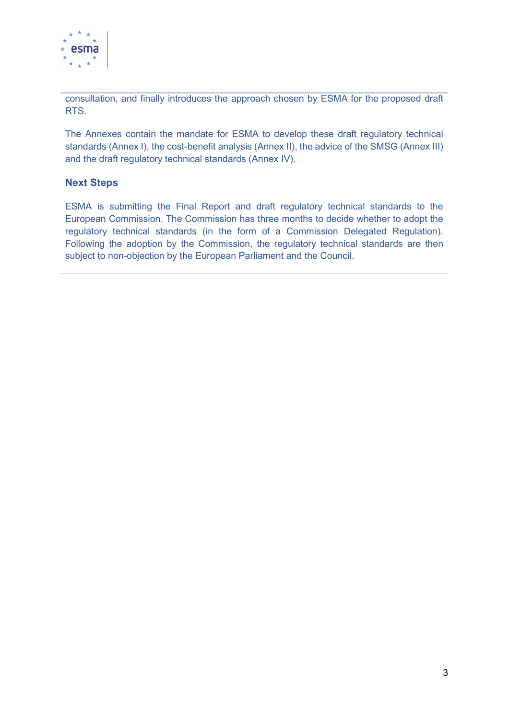

consultation, and finally introduces the approach chosen by ESMA for the proposed draft RTS.

The Annexes contain the mandate for ESMA to develop these draft regulatory technical standards (Annex I), the cost-benefit analysis (Annex II), the advice of the SMSG (Annex III) and the draft regulatory technical standards (Annex IV).

### Next Steps

ESMA is submitting the Final Report and draft regulatory technical standards to the European Commission. The Commission has three months to decide whether to adopt the regulatory technical standards (in the form of a Commission Delegated Regulation). Following the adoption by the Commission, the regulatory technical standards are then subject to non-objection by the European Parliament and the Council.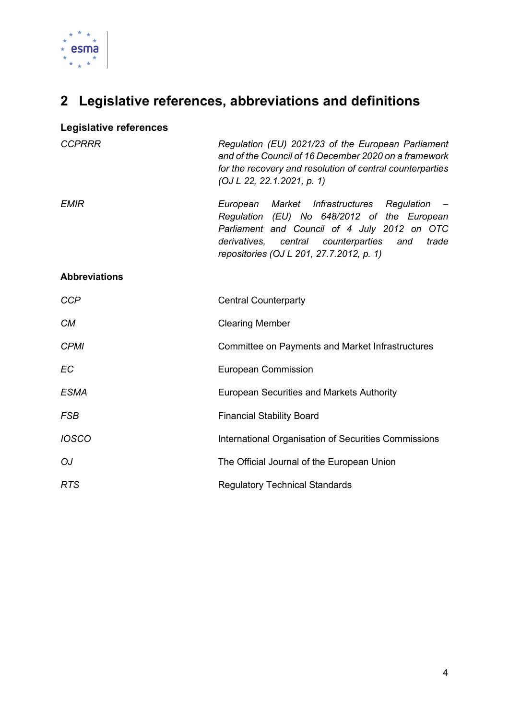

# 2 Legislative references, abbreviations and definitions

### Legislative references

| <b>CCPRRR</b>        | Regulation (EU) 2021/23 of the European Parliament<br>and of the Council of 16 December 2020 on a framework<br>for the recovery and resolution of central counterparties<br>(OJ L 22, 22.1.2021, p. 1)                                               |
|----------------------|------------------------------------------------------------------------------------------------------------------------------------------------------------------------------------------------------------------------------------------------------|
| <b>EMIR</b>          | Market Infrastructures Regulation –<br>European<br>Regulation (EU) No 648/2012 of the European<br>Parliament and Council of 4 July 2012 on OTC<br>derivatives, central<br>counterparties<br>trade<br>and<br>repositories (OJ L 201, 27.7.2012, p. 1) |
| <b>Abbreviations</b> |                                                                                                                                                                                                                                                      |
| <b>CCP</b>           | <b>Central Counterparty</b>                                                                                                                                                                                                                          |
| <b>CM</b>            | <b>Clearing Member</b>                                                                                                                                                                                                                               |
| <b>CPMI</b>          | <b>Committee on Payments and Market Infrastructures</b>                                                                                                                                                                                              |
| <b>EC</b>            | <b>European Commission</b>                                                                                                                                                                                                                           |
| <b>ESMA</b>          | <b>European Securities and Markets Authority</b>                                                                                                                                                                                                     |
| FSB                  | <b>Financial Stability Board</b>                                                                                                                                                                                                                     |
| <b>IOSCO</b>         | International Organisation of Securities Commissions                                                                                                                                                                                                 |
| OJ                   | The Official Journal of the European Union                                                                                                                                                                                                           |
| <b>RTS</b>           | <b>Regulatory Technical Standards</b>                                                                                                                                                                                                                |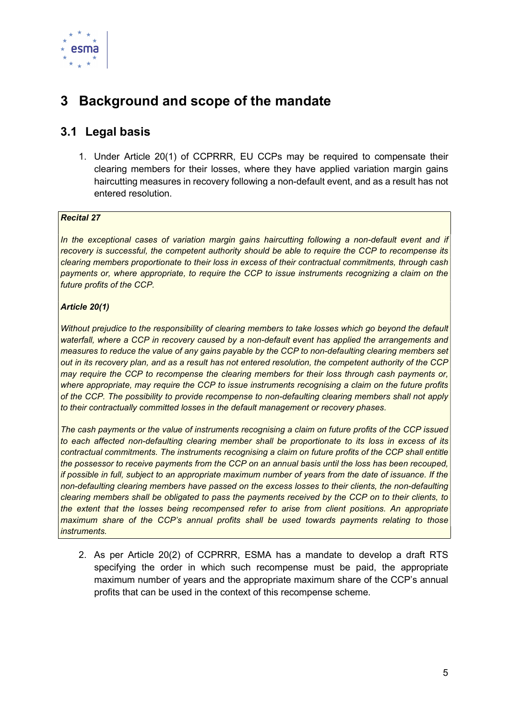

# 3 Background and scope of the mandate

### 3.1 Legal basis

1. Under Article 20(1) of CCPRRR, EU CCPs may be required to compensate their clearing members for their losses, where they have applied variation margin gains haircutting measures in recovery following a non-default event, and as a result has not entered resolution.

#### Recital 27

In the exceptional cases of variation margin gains haircutting following a non-default event and if recovery is successful, the competent authority should be able to require the CCP to recompense its clearing members proportionate to their loss in excess of their contractual commitments, through cash payments or, where appropriate, to require the CCP to issue instruments recognizing a claim on the future profits of the CCP.

### Article 20(1)

Without prejudice to the responsibility of clearing members to take losses which go beyond the default waterfall, where a CCP in recovery caused by a non-default event has applied the arrangements and measures to reduce the value of any gains payable by the CCP to non-defaulting clearing members set out in its recovery plan, and as a result has not entered resolution, the competent authority of the CCP may require the CCP to recompense the clearing members for their loss through cash payments or, where appropriate, may require the CCP to issue instruments recognising a claim on the future profits of the CCP. The possibility to provide recompense to non-defaulting clearing members shall not apply to their contractually committed losses in the default management or recovery phases.

The cash payments or the value of instruments recognising a claim on future profits of the CCP issued to each affected non-defaulting clearing member shall be proportionate to its loss in excess of its contractual commitments. The instruments recognising a claim on future profits of the CCP shall entitle the possessor to receive payments from the CCP on an annual basis until the loss has been recouped, if possible in full, subject to an appropriate maximum number of years from the date of issuance. If the non-defaulting clearing members have passed on the excess losses to their clients, the non-defaulting clearing members shall be obligated to pass the payments received by the CCP on to their clients, to the extent that the losses being recompensed refer to arise from client positions. An appropriate maximum share of the CCP's annual profits shall be used towards payments relating to those instruments.

2. As per Article 20(2) of CCPRRR, ESMA has a mandate to develop a draft RTS specifying the order in which such recompense must be paid, the appropriate maximum number of years and the appropriate maximum share of the CCP's annual profits that can be used in the context of this recompense scheme.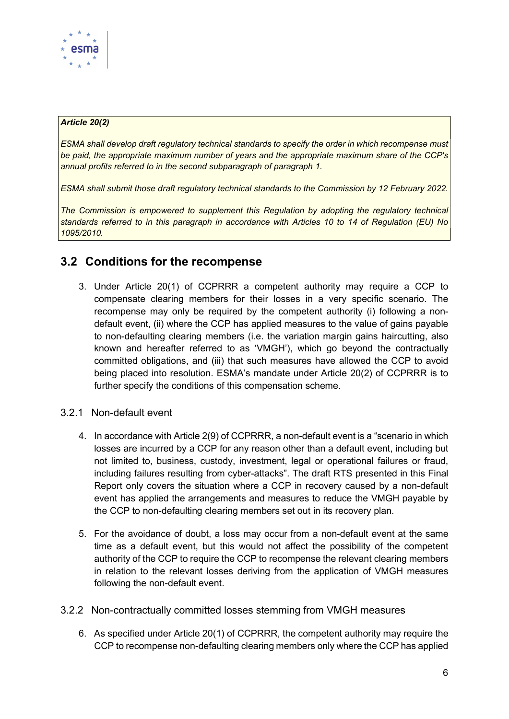

#### Article 20(2)

ESMA shall develop draft regulatory technical standards to specify the order in which recompense must be paid, the appropriate maximum number of years and the appropriate maximum share of the CCP's annual profits referred to in the second subparagraph of paragraph 1.

ESMA shall submit those draft regulatory technical standards to the Commission by 12 February 2022.

The Commission is empowered to supplement this Regulation by adopting the regulatory technical standards referred to in this paragraph in accordance with Articles 10 to 14 of Regulation (EU) No 1095/2010.

### 3.2 Conditions for the recompense

3. Under Article 20(1) of CCPRRR a competent authority may require a CCP to compensate clearing members for their losses in a very specific scenario. The recompense may only be required by the competent authority (i) following a nondefault event, (ii) where the CCP has applied measures to the value of gains payable to non-defaulting clearing members (i.e. the variation margin gains haircutting, also known and hereafter referred to as 'VMGH'), which go beyond the contractually committed obligations, and (iii) that such measures have allowed the CCP to avoid being placed into resolution. ESMA's mandate under Article 20(2) of CCPRRR is to further specify the conditions of this compensation scheme.

#### 3.2.1 Non-default event

- 4. In accordance with Article 2(9) of CCPRRR, a non-default event is a "scenario in which losses are incurred by a CCP for any reason other than a default event, including but not limited to, business, custody, investment, legal or operational failures or fraud, including failures resulting from cyber-attacks". The draft RTS presented in this Final Report only covers the situation where a CCP in recovery caused by a non-default event has applied the arrangements and measures to reduce the VMGH payable by the CCP to non-defaulting clearing members set out in its recovery plan.
- 5. For the avoidance of doubt, a loss may occur from a non-default event at the same time as a default event, but this would not affect the possibility of the competent authority of the CCP to require the CCP to recompense the relevant clearing members in relation to the relevant losses deriving from the application of VMGH measures following the non-default event.
- 3.2.2 Non-contractually committed losses stemming from VMGH measures
	- 6. As specified under Article 20(1) of CCPRRR, the competent authority may require the CCP to recompense non-defaulting clearing members only where the CCP has applied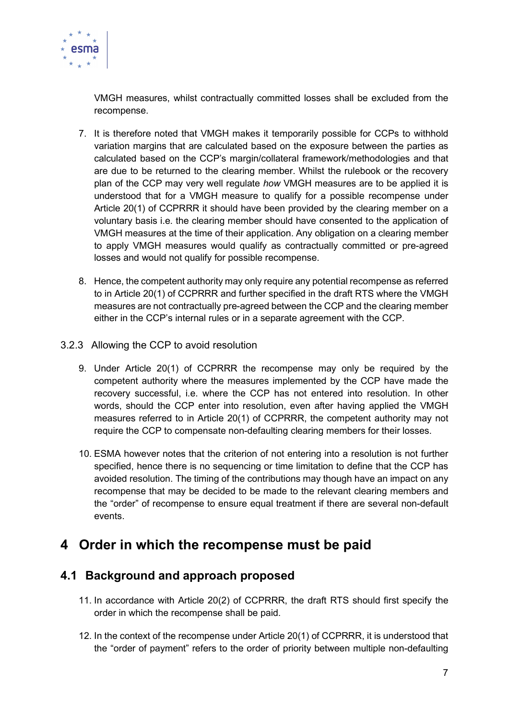

VMGH measures, whilst contractually committed losses shall be excluded from the recompense.

- 7. It is therefore noted that VMGH makes it temporarily possible for CCPs to withhold variation margins that are calculated based on the exposure between the parties as calculated based on the CCP's margin/collateral framework/methodologies and that are due to be returned to the clearing member. Whilst the rulebook or the recovery plan of the CCP may very well regulate how VMGH measures are to be applied it is understood that for a VMGH measure to qualify for a possible recompense under Article 20(1) of CCPRRR it should have been provided by the clearing member on a voluntary basis i.e. the clearing member should have consented to the application of VMGH measures at the time of their application. Any obligation on a clearing member to apply VMGH measures would qualify as contractually committed or pre-agreed losses and would not qualify for possible recompense.
- 8. Hence, the competent authority may only require any potential recompense as referred to in Article 20(1) of CCPRRR and further specified in the draft RTS where the VMGH measures are not contractually pre-agreed between the CCP and the clearing member either in the CCP's internal rules or in a separate agreement with the CCP.
- 3.2.3 Allowing the CCP to avoid resolution
	- 9. Under Article 20(1) of CCPRRR the recompense may only be required by the competent authority where the measures implemented by the CCP have made the recovery successful, i.e. where the CCP has not entered into resolution. In other words, should the CCP enter into resolution, even after having applied the VMGH measures referred to in Article 20(1) of CCPRRR, the competent authority may not require the CCP to compensate non-defaulting clearing members for their losses.
	- 10. ESMA however notes that the criterion of not entering into a resolution is not further specified, hence there is no sequencing or time limitation to define that the CCP has avoided resolution. The timing of the contributions may though have an impact on any recompense that may be decided to be made to the relevant clearing members and the "order" of recompense to ensure equal treatment if there are several non-default events.

### 4 Order in which the recompense must be paid

### 4.1 Background and approach proposed

- 11. In accordance with Article 20(2) of CCPRRR, the draft RTS should first specify the order in which the recompense shall be paid.
- 12. In the context of the recompense under Article 20(1) of CCPRRR, it is understood that the "order of payment" refers to the order of priority between multiple non-defaulting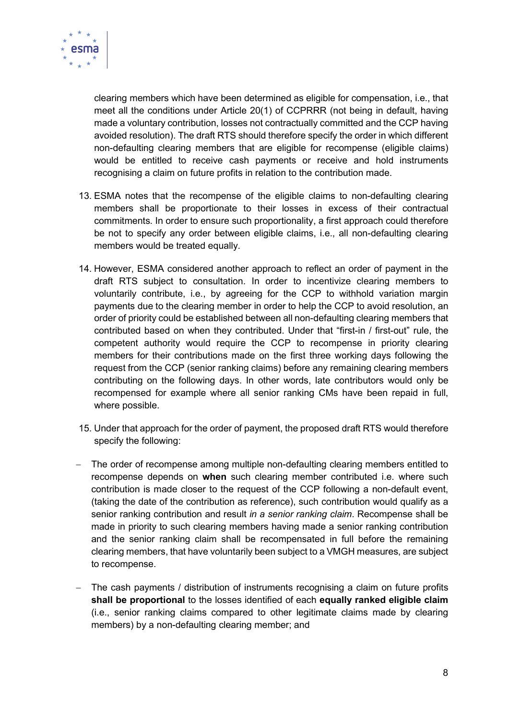

clearing members which have been determined as eligible for compensation, i.e., that meet all the conditions under Article 20(1) of CCPRRR (not being in default, having made a voluntary contribution, losses not contractually committed and the CCP having avoided resolution). The draft RTS should therefore specify the order in which different non-defaulting clearing members that are eligible for recompense (eligible claims) would be entitled to receive cash payments or receive and hold instruments recognising a claim on future profits in relation to the contribution made.

- 13. ESMA notes that the recompense of the eligible claims to non-defaulting clearing members shall be proportionate to their losses in excess of their contractual commitments. In order to ensure such proportionality, a first approach could therefore be not to specify any order between eligible claims, i.e., all non-defaulting clearing members would be treated equally.
- 14. However, ESMA considered another approach to reflect an order of payment in the draft RTS subject to consultation. In order to incentivize clearing members to voluntarily contribute, i.e., by agreeing for the CCP to withhold variation margin payments due to the clearing member in order to help the CCP to avoid resolution, an order of priority could be established between all non-defaulting clearing members that contributed based on when they contributed. Under that "first-in / first-out" rule, the competent authority would require the CCP to recompense in priority clearing members for their contributions made on the first three working days following the request from the CCP (senior ranking claims) before any remaining clearing members contributing on the following days. In other words, late contributors would only be recompensed for example where all senior ranking CMs have been repaid in full, where possible.
- 15. Under that approach for the order of payment, the proposed draft RTS would therefore specify the following:
- The order of recompense among multiple non-defaulting clearing members entitled to recompense depends on when such clearing member contributed i.e. where such contribution is made closer to the request of the CCP following a non-default event, (taking the date of the contribution as reference), such contribution would qualify as a senior ranking contribution and result in a senior ranking claim. Recompense shall be made in priority to such clearing members having made a senior ranking contribution and the senior ranking claim shall be recompensated in full before the remaining clearing members, that have voluntarily been subject to a VMGH measures, are subject to recompense.
- The cash payments / distribution of instruments recognising a claim on future profits shall be proportional to the losses identified of each equally ranked eligible claim (i.e., senior ranking claims compared to other legitimate claims made by clearing members) by a non-defaulting clearing member; and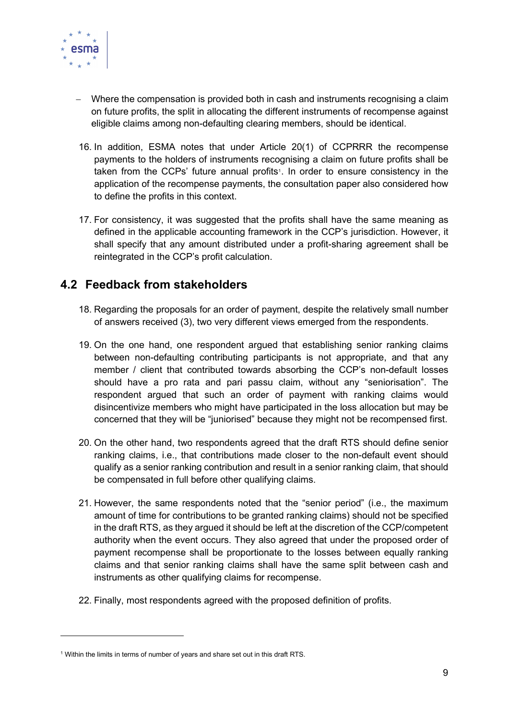

- Where the compensation is provided both in cash and instruments recognising a claim on future profits, the split in allocating the different instruments of recompense against eligible claims among non-defaulting clearing members, should be identical.
- 16. In addition, ESMA notes that under Article 20(1) of CCPRRR the recompense payments to the holders of instruments recognising a claim on future profits shall be taken from the CCPs' future annual profits<sup>1</sup>. In order to ensure consistency in the application of the recompense payments, the consultation paper also considered how to define the profits in this context.
- 17. For consistency, it was suggested that the profits shall have the same meaning as defined in the applicable accounting framework in the CCP's jurisdiction. However, it shall specify that any amount distributed under a profit-sharing agreement shall be reintegrated in the CCP's profit calculation.

### 4.2 Feedback from stakeholders

- 18. Regarding the proposals for an order of payment, despite the relatively small number of answers received (3), two very different views emerged from the respondents.
- 19. On the one hand, one respondent argued that establishing senior ranking claims between non-defaulting contributing participants is not appropriate, and that any member / client that contributed towards absorbing the CCP's non-default losses should have a pro rata and pari passu claim, without any "seniorisation". The respondent argued that such an order of payment with ranking claims would disincentivize members who might have participated in the loss allocation but may be concerned that they will be "juniorised" because they might not be recompensed first.
- 20. On the other hand, two respondents agreed that the draft RTS should define senior ranking claims, i.e., that contributions made closer to the non-default event should qualify as a senior ranking contribution and result in a senior ranking claim, that should be compensated in full before other qualifying claims.
- 21. However, the same respondents noted that the "senior period" (i.e., the maximum amount of time for contributions to be granted ranking claims) should not be specified in the draft RTS, as they argued it should be left at the discretion of the CCP/competent authority when the event occurs. They also agreed that under the proposed order of payment recompense shall be proportionate to the losses between equally ranking claims and that senior ranking claims shall have the same split between cash and instruments as other qualifying claims for recompense.
- 22. Finally, most respondents agreed with the proposed definition of profits.

<sup>&</sup>lt;sup>1</sup> Within the limits in terms of number of years and share set out in this draft RTS.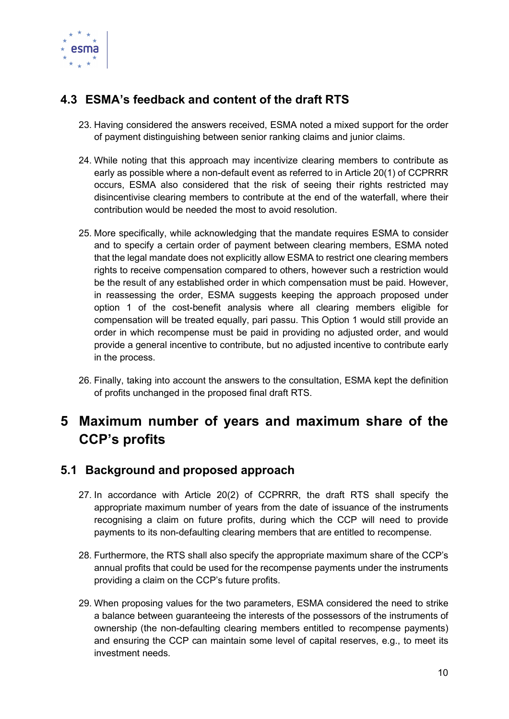

### 4.3 ESMA's feedback and content of the draft RTS

- 23. Having considered the answers received, ESMA noted a mixed support for the order of payment distinguishing between senior ranking claims and junior claims.
- 24. While noting that this approach may incentivize clearing members to contribute as early as possible where a non-default event as referred to in Article 20(1) of CCPRRR occurs, ESMA also considered that the risk of seeing their rights restricted may disincentivise clearing members to contribute at the end of the waterfall, where their contribution would be needed the most to avoid resolution.
- 25. More specifically, while acknowledging that the mandate requires ESMA to consider and to specify a certain order of payment between clearing members, ESMA noted that the legal mandate does not explicitly allow ESMA to restrict one clearing members rights to receive compensation compared to others, however such a restriction would be the result of any established order in which compensation must be paid. However, in reassessing the order, ESMA suggests keeping the approach proposed under option 1 of the cost-benefit analysis where all clearing members eligible for compensation will be treated equally, pari passu. This Option 1 would still provide an order in which recompense must be paid in providing no adjusted order, and would provide a general incentive to contribute, but no adjusted incentive to contribute early in the process.
- 26. Finally, taking into account the answers to the consultation, ESMA kept the definition of profits unchanged in the proposed final draft RTS.

# 5 Maximum number of years and maximum share of the CCP's profits

### 5.1 Background and proposed approach

- 27. In accordance with Article 20(2) of CCPRRR, the draft RTS shall specify the appropriate maximum number of years from the date of issuance of the instruments recognising a claim on future profits, during which the CCP will need to provide payments to its non-defaulting clearing members that are entitled to recompense.
- 28. Furthermore, the RTS shall also specify the appropriate maximum share of the CCP's annual profits that could be used for the recompense payments under the instruments providing a claim on the CCP's future profits.
- 29. When proposing values for the two parameters, ESMA considered the need to strike a balance between guaranteeing the interests of the possessors of the instruments of ownership (the non-defaulting clearing members entitled to recompense payments) and ensuring the CCP can maintain some level of capital reserves, e.g., to meet its investment needs.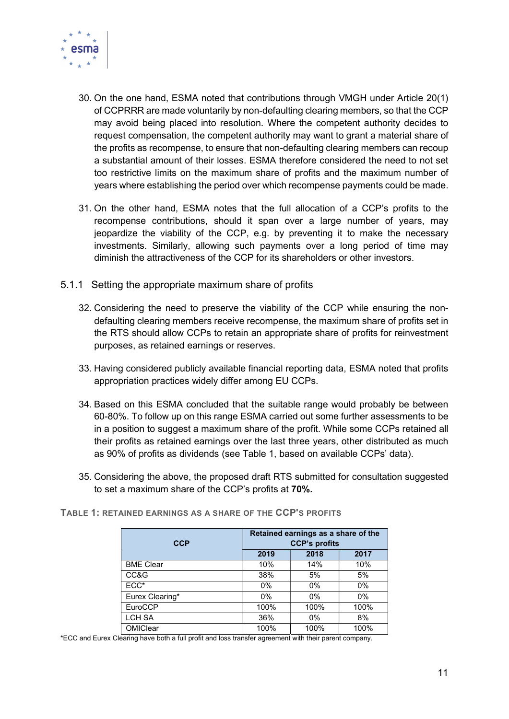

- 30. On the one hand, ESMA noted that contributions through VMGH under Article 20(1) of CCPRRR are made voluntarily by non-defaulting clearing members, so that the CCP may avoid being placed into resolution. Where the competent authority decides to request compensation, the competent authority may want to grant a material share of the profits as recompense, to ensure that non-defaulting clearing members can recoup a substantial amount of their losses. ESMA therefore considered the need to not set too restrictive limits on the maximum share of profits and the maximum number of years where establishing the period over which recompense payments could be made.
- 31. On the other hand, ESMA notes that the full allocation of a CCP's profits to the recompense contributions, should it span over a large number of years, may jeopardize the viability of the CCP, e.g. by preventing it to make the necessary investments. Similarly, allowing such payments over a long period of time may diminish the attractiveness of the CCP for its shareholders or other investors.
- 5.1.1 Setting the appropriate maximum share of profits
	- 32. Considering the need to preserve the viability of the CCP while ensuring the nondefaulting clearing members receive recompense, the maximum share of profits set in the RTS should allow CCPs to retain an appropriate share of profits for reinvestment purposes, as retained earnings or reserves.
	- 33. Having considered publicly available financial reporting data, ESMA noted that profits appropriation practices widely differ among EU CCPs.
	- 34. Based on this ESMA concluded that the suitable range would probably be between 60-80%. To follow up on this range ESMA carried out some further assessments to be in a position to suggest a maximum share of the profit. While some CCPs retained all their profits as retained earnings over the last three years, other distributed as much as 90% of profits as dividends (see Table 1, based on available CCPs' data).
	- 35. Considering the above, the proposed draft RTS submitted for consultation suggested to set a maximum share of the CCP's profits at 70%.

| <b>CCP</b>       | Retained earnings as a share of the<br><b>CCP's profits</b> |      |       |
|------------------|-------------------------------------------------------------|------|-------|
|                  | 2019                                                        | 2018 | 2017  |
| <b>BME Clear</b> | 10%                                                         | 14%  | 10%   |
| CC&G             | 38%                                                         | 5%   | 5%    |
| $ECC^*$          | 0%                                                          | 0%   | $0\%$ |
| Eurex Clearing*  | $0\%$                                                       | 0%   | $0\%$ |
| EuroCCP          | 100%                                                        | 100% | 100%  |
| LCH SA           | 36%                                                         | 0%   | 8%    |
| <b>OMIClear</b>  | 100%                                                        | 100% | 100%  |

TABLE 1: RETAINED EARNINGS AS A SHARE OF THE CCP'S PROFITS

\*ECC and Eurex Clearing have both a full profit and loss transfer agreement with their parent company.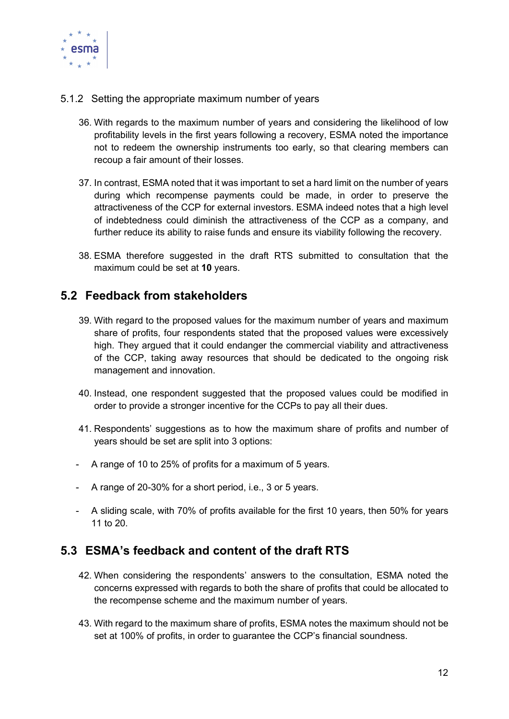

- 5.1.2 Setting the appropriate maximum number of years
	- 36. With regards to the maximum number of years and considering the likelihood of low profitability levels in the first years following a recovery, ESMA noted the importance not to redeem the ownership instruments too early, so that clearing members can recoup a fair amount of their losses.
	- 37. In contrast, ESMA noted that it was important to set a hard limit on the number of years during which recompense payments could be made, in order to preserve the attractiveness of the CCP for external investors. ESMA indeed notes that a high level of indebtedness could diminish the attractiveness of the CCP as a company, and further reduce its ability to raise funds and ensure its viability following the recovery.
	- 38. ESMA therefore suggested in the draft RTS submitted to consultation that the maximum could be set at 10 years.

### 5.2 Feedback from stakeholders

- 39. With regard to the proposed values for the maximum number of years and maximum share of profits, four respondents stated that the proposed values were excessively high. They argued that it could endanger the commercial viability and attractiveness of the CCP, taking away resources that should be dedicated to the ongoing risk management and innovation.
- 40. Instead, one respondent suggested that the proposed values could be modified in order to provide a stronger incentive for the CCPs to pay all their dues.
- 41. Respondents' suggestions as to how the maximum share of profits and number of years should be set are split into 3 options:
- A range of 10 to 25% of profits for a maximum of 5 years.
- A range of 20-30% for a short period, i.e., 3 or 5 years.
- A sliding scale, with 70% of profits available for the first 10 years, then 50% for years 11 to 20.

### 5.3 ESMA's feedback and content of the draft RTS

- 42. When considering the respondents' answers to the consultation, ESMA noted the concerns expressed with regards to both the share of profits that could be allocated to the recompense scheme and the maximum number of years.
- 43. With regard to the maximum share of profits, ESMA notes the maximum should not be set at 100% of profits, in order to guarantee the CCP's financial soundness.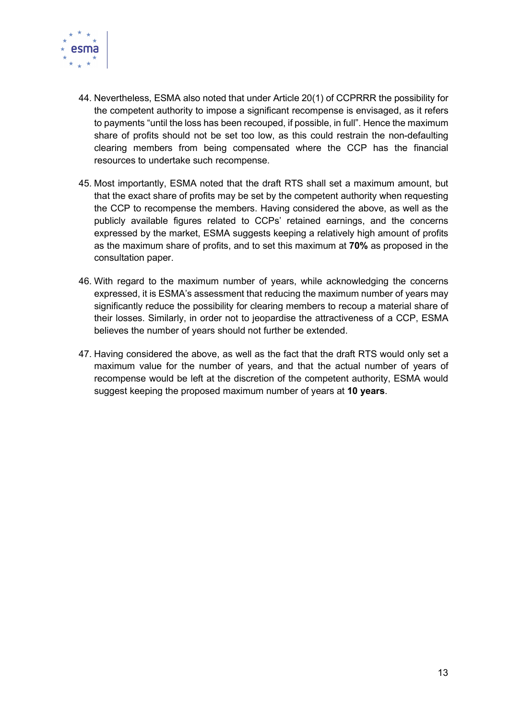

- 44. Nevertheless, ESMA also noted that under Article 20(1) of CCPRRR the possibility for the competent authority to impose a significant recompense is envisaged, as it refers to payments "until the loss has been recouped, if possible, in full". Hence the maximum share of profits should not be set too low, as this could restrain the non-defaulting clearing members from being compensated where the CCP has the financial resources to undertake such recompense.
- 45. Most importantly, ESMA noted that the draft RTS shall set a maximum amount, but that the exact share of profits may be set by the competent authority when requesting the CCP to recompense the members. Having considered the above, as well as the publicly available figures related to CCPs' retained earnings, and the concerns expressed by the market, ESMA suggests keeping a relatively high amount of profits as the maximum share of profits, and to set this maximum at 70% as proposed in the consultation paper.
- 46. With regard to the maximum number of years, while acknowledging the concerns expressed, it is ESMA's assessment that reducing the maximum number of years may significantly reduce the possibility for clearing members to recoup a material share of their losses. Similarly, in order not to jeopardise the attractiveness of a CCP, ESMA believes the number of years should not further be extended.
- 47. Having considered the above, as well as the fact that the draft RTS would only set a maximum value for the number of years, and that the actual number of years of recompense would be left at the discretion of the competent authority, ESMA would suggest keeping the proposed maximum number of years at 10 years.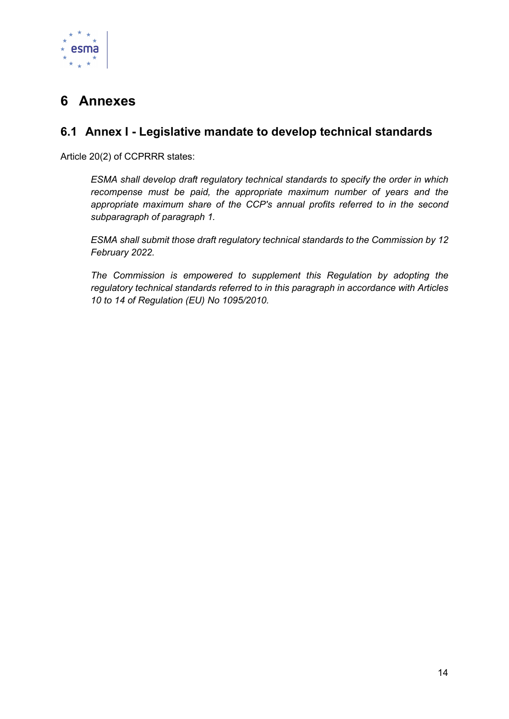

# 6 Annexes

### 6.1 Annex I - Legislative mandate to develop technical standards

Article 20(2) of CCPRRR states:

ESMA shall develop draft regulatory technical standards to specify the order in which recompense must be paid, the appropriate maximum number of years and the appropriate maximum share of the CCP's annual profits referred to in the second subparagraph of paragraph 1.

ESMA shall submit those draft regulatory technical standards to the Commission by 12 February 2022.

The Commission is empowered to supplement this Regulation by adopting the regulatory technical standards referred to in this paragraph in accordance with Articles 10 to 14 of Regulation (EU) No 1095/2010.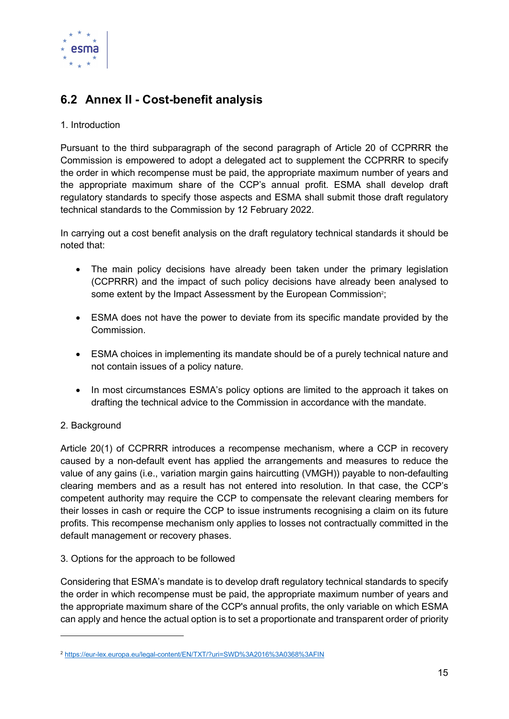

### 6.2 Annex II - Cost-benefit analysis

### 1. Introduction

Pursuant to the third subparagraph of the second paragraph of Article 20 of CCPRRR the Commission is empowered to adopt a delegated act to supplement the CCPRRR to specify the order in which recompense must be paid, the appropriate maximum number of years and the appropriate maximum share of the CCP's annual profit. ESMA shall develop draft regulatory standards to specify those aspects and ESMA shall submit those draft regulatory technical standards to the Commission by 12 February 2022.

In carrying out a cost benefit analysis on the draft regulatory technical standards it should be noted that:

- The main policy decisions have already been taken under the primary legislation (CCPRRR) and the impact of such policy decisions have already been analysed to some extent by the Impact Assessment by the European Commission<sup>2</sup>;
- ESMA does not have the power to deviate from its specific mandate provided by the Commission.
- ESMA choices in implementing its mandate should be of a purely technical nature and not contain issues of a policy nature.
- In most circumstances ESMA's policy options are limited to the approach it takes on drafting the technical advice to the Commission in accordance with the mandate.

### 2. Background

Article 20(1) of CCPRRR introduces a recompense mechanism, where a CCP in recovery caused by a non-default event has applied the arrangements and measures to reduce the value of any gains (i.e., variation margin gains haircutting (VMGH)) payable to non-defaulting clearing members and as a result has not entered into resolution. In that case, the CCP's competent authority may require the CCP to compensate the relevant clearing members for their losses in cash or require the CCP to issue instruments recognising a claim on its future profits. This recompense mechanism only applies to losses not contractually committed in the default management or recovery phases.

### 3. Options for the approach to be followed

Considering that ESMA's mandate is to develop draft regulatory technical standards to specify the order in which recompense must be paid, the appropriate maximum number of years and the appropriate maximum share of the CCP's annual profits, the only variable on which ESMA can apply and hence the actual option is to set a proportionate and transparent order of priority

<sup>2</sup> https://eur-lex.europa.eu/legal-content/EN/TXT/?uri=SWD%3A2016%3A0368%3AFIN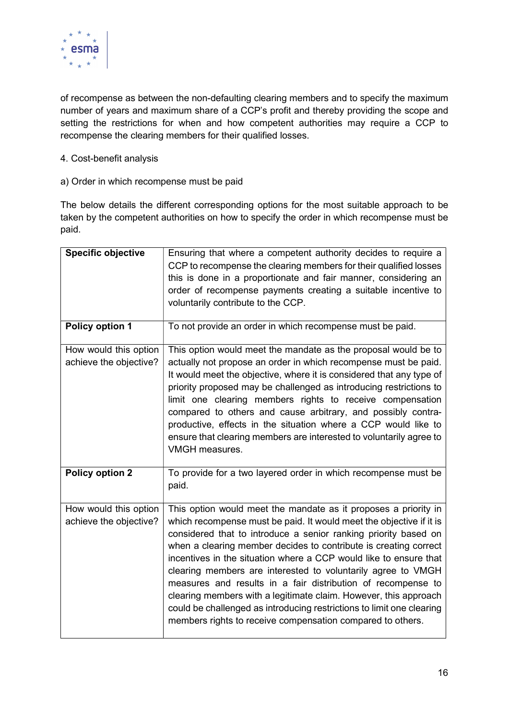

of recompense as between the non-defaulting clearing members and to specify the maximum number of years and maximum share of a CCP's profit and thereby providing the scope and setting the restrictions for when and how competent authorities may require a CCP to recompense the clearing members for their qualified losses.

### 4. Cost-benefit analysis

a) Order in which recompense must be paid

The below details the different corresponding options for the most suitable approach to be taken by the competent authorities on how to specify the order in which recompense must be paid.

| <b>Specific objective</b>                       | Ensuring that where a competent authority decides to require a<br>CCP to recompense the clearing members for their qualified losses<br>this is done in a proportionate and fair manner, considering an<br>order of recompense payments creating a suitable incentive to<br>voluntarily contribute to the CCP.                                                                                                                                                                                                                                                                                                                                                                                 |
|-------------------------------------------------|-----------------------------------------------------------------------------------------------------------------------------------------------------------------------------------------------------------------------------------------------------------------------------------------------------------------------------------------------------------------------------------------------------------------------------------------------------------------------------------------------------------------------------------------------------------------------------------------------------------------------------------------------------------------------------------------------|
| Policy option 1                                 | To not provide an order in which recompense must be paid.                                                                                                                                                                                                                                                                                                                                                                                                                                                                                                                                                                                                                                     |
| How would this option<br>achieve the objective? | This option would meet the mandate as the proposal would be to<br>actually not propose an order in which recompense must be paid.<br>It would meet the objective, where it is considered that any type of<br>priority proposed may be challenged as introducing restrictions to<br>limit one clearing members rights to receive compensation<br>compared to others and cause arbitrary, and possibly contra-<br>productive, effects in the situation where a CCP would like to<br>ensure that clearing members are interested to voluntarily agree to<br><b>VMGH</b> measures.                                                                                                                |
| <b>Policy option 2</b>                          | To provide for a two layered order in which recompense must be<br>paid.                                                                                                                                                                                                                                                                                                                                                                                                                                                                                                                                                                                                                       |
| How would this option<br>achieve the objective? | This option would meet the mandate as it proposes a priority in<br>which recompense must be paid. It would meet the objective if it is<br>considered that to introduce a senior ranking priority based on<br>when a clearing member decides to contribute is creating correct<br>incentives in the situation where a CCP would like to ensure that<br>clearing members are interested to voluntarily agree to VMGH<br>measures and results in a fair distribution of recompense to<br>clearing members with a legitimate claim. However, this approach<br>could be challenged as introducing restrictions to limit one clearing<br>members rights to receive compensation compared to others. |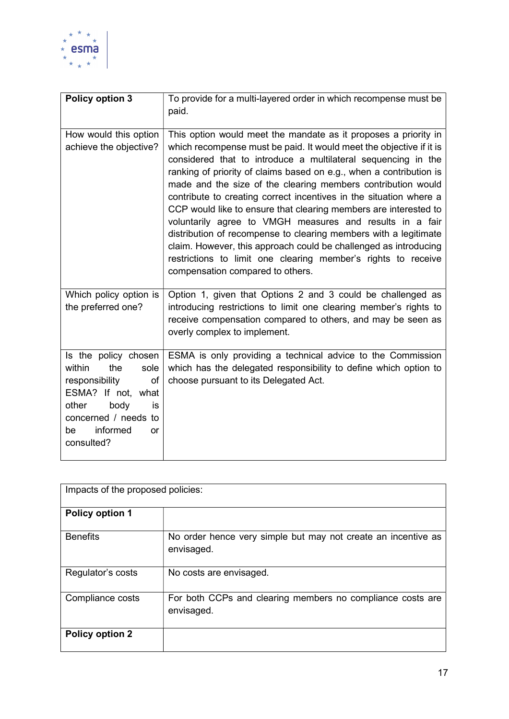

| Policy option 3                                                                                                                                                                         | To provide for a multi-layered order in which recompense must be<br>paid.                                                                                                                                                                                                                                                                                                                                                                                                                                                                                                                                                                                                                                                                                                                         |
|-----------------------------------------------------------------------------------------------------------------------------------------------------------------------------------------|---------------------------------------------------------------------------------------------------------------------------------------------------------------------------------------------------------------------------------------------------------------------------------------------------------------------------------------------------------------------------------------------------------------------------------------------------------------------------------------------------------------------------------------------------------------------------------------------------------------------------------------------------------------------------------------------------------------------------------------------------------------------------------------------------|
| How would this option<br>achieve the objective?                                                                                                                                         | This option would meet the mandate as it proposes a priority in<br>which recompense must be paid. It would meet the objective if it is<br>considered that to introduce a multilateral sequencing in the<br>ranking of priority of claims based on e.g., when a contribution is<br>made and the size of the clearing members contribution would<br>contribute to creating correct incentives in the situation where a<br>CCP would like to ensure that clearing members are interested to<br>voluntarily agree to VMGH measures and results in a fair<br>distribution of recompense to clearing members with a legitimate<br>claim. However, this approach could be challenged as introducing<br>restrictions to limit one clearing member's rights to receive<br>compensation compared to others. |
| Which policy option is<br>the preferred one?                                                                                                                                            | Option 1, given that Options 2 and 3 could be challenged as<br>introducing restrictions to limit one clearing member's rights to<br>receive compensation compared to others, and may be seen as<br>overly complex to implement.                                                                                                                                                                                                                                                                                                                                                                                                                                                                                                                                                                   |
| Is the policy chosen<br>within<br>the<br>sole<br>responsibility<br>of<br>ESMA? If not, what<br>other<br>body<br>is<br>concerned / needs to<br>informed<br>be<br><b>or</b><br>consulted? | ESMA is only providing a technical advice to the Commission<br>which has the delegated responsibility to define which option to<br>choose pursuant to its Delegated Act.                                                                                                                                                                                                                                                                                                                                                                                                                                                                                                                                                                                                                          |

| Impacts of the proposed policies: |                                                                             |  |  |  |
|-----------------------------------|-----------------------------------------------------------------------------|--|--|--|
| <b>Policy option 1</b>            |                                                                             |  |  |  |
| <b>Benefits</b>                   | No order hence very simple but may not create an incentive as<br>envisaged. |  |  |  |
| Regulator's costs                 | No costs are envisaged.                                                     |  |  |  |
| Compliance costs                  | For both CCPs and clearing members no compliance costs are<br>envisaged.    |  |  |  |
| Policy option 2                   |                                                                             |  |  |  |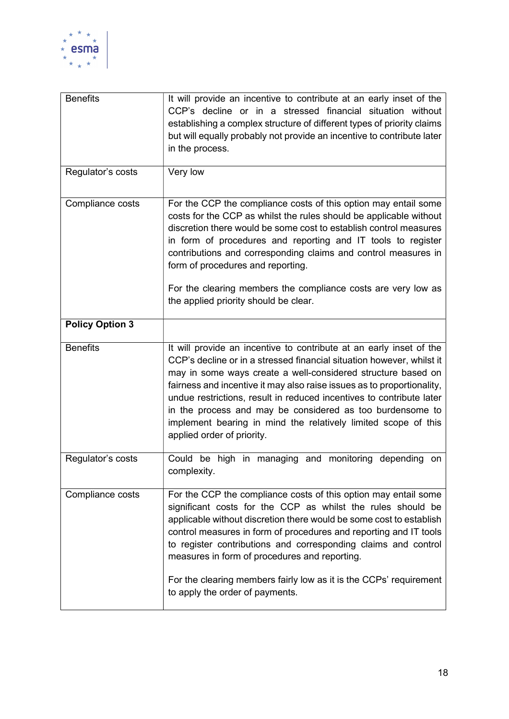

| <b>Benefits</b>        | It will provide an incentive to contribute at an early inset of the<br>CCP's decline or in a stressed financial situation without<br>establishing a complex structure of different types of priority claims<br>but will equally probably not provide an incentive to contribute later<br>in the process.                                                                                                                                                                                                                    |
|------------------------|-----------------------------------------------------------------------------------------------------------------------------------------------------------------------------------------------------------------------------------------------------------------------------------------------------------------------------------------------------------------------------------------------------------------------------------------------------------------------------------------------------------------------------|
| Regulator's costs      | Very low                                                                                                                                                                                                                                                                                                                                                                                                                                                                                                                    |
| Compliance costs       | For the CCP the compliance costs of this option may entail some<br>costs for the CCP as whilst the rules should be applicable without<br>discretion there would be some cost to establish control measures<br>in form of procedures and reporting and IT tools to register<br>contributions and corresponding claims and control measures in<br>form of procedures and reporting.<br>For the clearing members the compliance costs are very low as<br>the applied priority should be clear.                                 |
| <b>Policy Option 3</b> |                                                                                                                                                                                                                                                                                                                                                                                                                                                                                                                             |
| <b>Benefits</b>        | It will provide an incentive to contribute at an early inset of the<br>CCP's decline or in a stressed financial situation however, whilst it<br>may in some ways create a well-considered structure based on<br>fairness and incentive it may also raise issues as to proportionality,<br>undue restrictions, result in reduced incentives to contribute later<br>in the process and may be considered as too burdensome to<br>implement bearing in mind the relatively limited scope of this<br>applied order of priority. |
| Regulator's costs      | Could be high in managing and monitoring<br>depending<br>on<br>complexity.                                                                                                                                                                                                                                                                                                                                                                                                                                                  |
| Compliance costs       | For the CCP the compliance costs of this option may entail some<br>significant costs for the CCP as whilst the rules should be<br>applicable without discretion there would be some cost to establish<br>control measures in form of procedures and reporting and IT tools<br>to register contributions and corresponding claims and control<br>measures in form of procedures and reporting.<br>For the clearing members fairly low as it is the CCPs' requirement<br>to apply the order of payments.                      |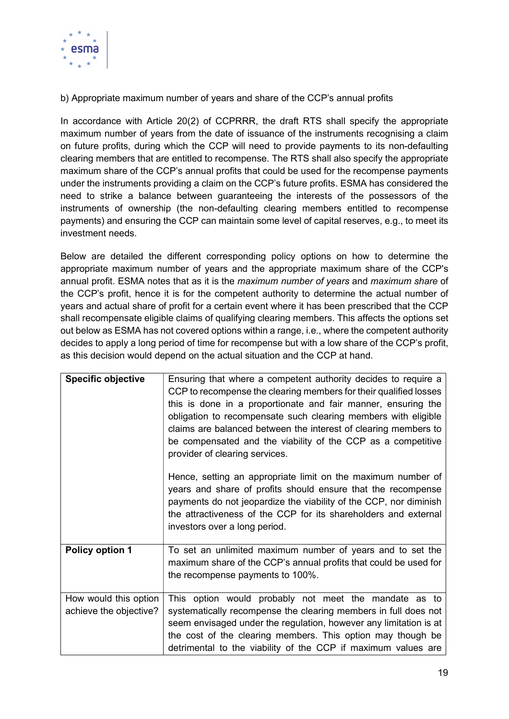

b) Appropriate maximum number of years and share of the CCP's annual profits

In accordance with Article 20(2) of CCPRRR, the draft RTS shall specify the appropriate maximum number of years from the date of issuance of the instruments recognising a claim on future profits, during which the CCP will need to provide payments to its non-defaulting clearing members that are entitled to recompense. The RTS shall also specify the appropriate maximum share of the CCP's annual profits that could be used for the recompense payments under the instruments providing a claim on the CCP's future profits. ESMA has considered the need to strike a balance between guaranteeing the interests of the possessors of the instruments of ownership (the non-defaulting clearing members entitled to recompense payments) and ensuring the CCP can maintain some level of capital reserves, e.g., to meet its investment needs.

Below are detailed the different corresponding policy options on how to determine the appropriate maximum number of years and the appropriate maximum share of the CCP's annual profit. ESMA notes that as it is the maximum number of years and maximum share of the CCP's profit, hence it is for the competent authority to determine the actual number of years and actual share of profit for a certain event where it has been prescribed that the CCP shall recompensate eligible claims of qualifying clearing members. This affects the options set out below as ESMA has not covered options within a range, i.e., where the competent authority decides to apply a long period of time for recompense but with a low share of the CCP's profit, as this decision would depend on the actual situation and the CCP at hand.

| <b>Specific objective</b>                       | Ensuring that where a competent authority decides to require a<br>CCP to recompense the clearing members for their qualified losses<br>this is done in a proportionate and fair manner, ensuring the<br>obligation to recompensate such clearing members with eligible<br>claims are balanced between the interest of clearing members to<br>be compensated and the viability of the CCP as a competitive<br>provider of clearing services.<br>Hence, setting an appropriate limit on the maximum number of<br>years and share of profits should ensure that the recompense<br>payments do not jeopardize the viability of the CCP, nor diminish<br>the attractiveness of the CCP for its shareholders and external |
|-------------------------------------------------|---------------------------------------------------------------------------------------------------------------------------------------------------------------------------------------------------------------------------------------------------------------------------------------------------------------------------------------------------------------------------------------------------------------------------------------------------------------------------------------------------------------------------------------------------------------------------------------------------------------------------------------------------------------------------------------------------------------------|
| Policy option 1                                 | investors over a long period.<br>To set an unlimited maximum number of years and to set the                                                                                                                                                                                                                                                                                                                                                                                                                                                                                                                                                                                                                         |
|                                                 | maximum share of the CCP's annual profits that could be used for<br>the recompense payments to 100%.                                                                                                                                                                                                                                                                                                                                                                                                                                                                                                                                                                                                                |
| How would this option<br>achieve the objective? | This option would probably not meet the mandate as to<br>systematically recompense the clearing members in full does not<br>seem envisaged under the regulation, however any limitation is at<br>the cost of the clearing members. This option may though be<br>detrimental to the viability of the CCP if maximum values are                                                                                                                                                                                                                                                                                                                                                                                       |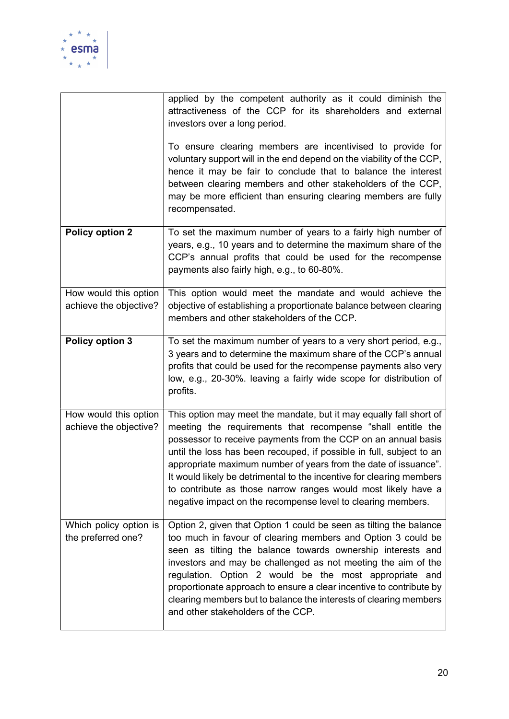

|                                                 | applied by the competent authority as it could diminish the<br>attractiveness of the CCP for its shareholders and external<br>investors over a long period.<br>To ensure clearing members are incentivised to provide for<br>voluntary support will in the end depend on the viability of the CCP,<br>hence it may be fair to conclude that to balance the interest<br>between clearing members and other stakeholders of the CCP,<br>may be more efficient than ensuring clearing members are fully                                                   |
|-------------------------------------------------|--------------------------------------------------------------------------------------------------------------------------------------------------------------------------------------------------------------------------------------------------------------------------------------------------------------------------------------------------------------------------------------------------------------------------------------------------------------------------------------------------------------------------------------------------------|
|                                                 | recompensated.                                                                                                                                                                                                                                                                                                                                                                                                                                                                                                                                         |
| <b>Policy option 2</b>                          | To set the maximum number of years to a fairly high number of<br>years, e.g., 10 years and to determine the maximum share of the<br>CCP's annual profits that could be used for the recompense<br>payments also fairly high, e.g., to 60-80%.                                                                                                                                                                                                                                                                                                          |
| How would this option<br>achieve the objective? | This option would meet the mandate and would achieve the<br>objective of establishing a proportionate balance between clearing<br>members and other stakeholders of the CCP.                                                                                                                                                                                                                                                                                                                                                                           |
| Policy option 3                                 | To set the maximum number of years to a very short period, e.g.,<br>3 years and to determine the maximum share of the CCP's annual<br>profits that could be used for the recompense payments also very<br>low, e.g., 20-30%. leaving a fairly wide scope for distribution of<br>profits.                                                                                                                                                                                                                                                               |
| How would this option<br>achieve the objective? | This option may meet the mandate, but it may equally fall short of<br>meeting the requirements that recompense "shall entitle the<br>possessor to receive payments from the CCP on an annual basis<br>until the loss has been recouped, if possible in full, subject to an<br>appropriate maximum number of years from the date of issuance".<br>It would likely be detrimental to the incentive for clearing members<br>to contribute as those narrow ranges would most likely have a<br>negative impact on the recompense level to clearing members. |
| Which policy option is<br>the preferred one?    | Option 2, given that Option 1 could be seen as tilting the balance<br>too much in favour of clearing members and Option 3 could be<br>seen as tilting the balance towards ownership interests and<br>investors and may be challenged as not meeting the aim of the<br>regulation. Option 2 would be the most appropriate and<br>proportionate approach to ensure a clear incentive to contribute by<br>clearing members but to balance the interests of clearing members<br>and other stakeholders of the CCP.                                         |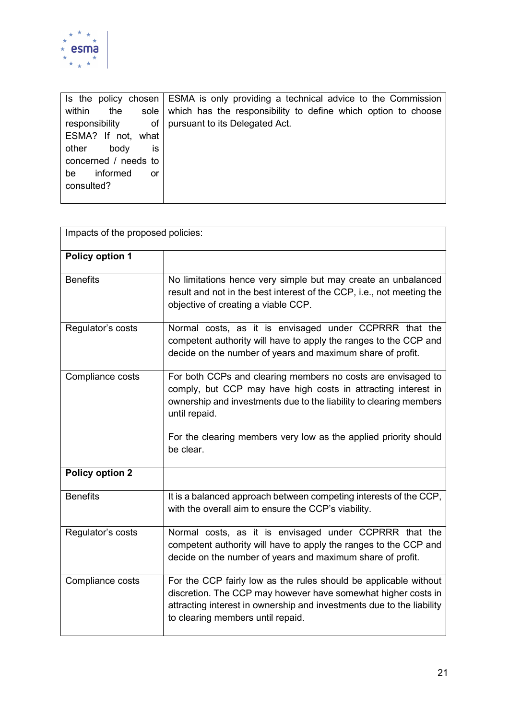

|                         | Is the policy chosen ESMA is only providing a technical advice to the Commission |
|-------------------------|----------------------------------------------------------------------------------|
| within<br>sole  <br>the | which has the responsibility to define which option to choose                    |
| responsibility<br>of    | pursuant to its Delegated Act.                                                   |
| ESMA? If not, what      |                                                                                  |
| is<br>other<br>body     |                                                                                  |
| concerned / needs to    |                                                                                  |
| informed<br>be<br>or    |                                                                                  |
| consulted?              |                                                                                  |
|                         |                                                                                  |

| Impacts of the proposed policies: |                                                                                                                                                                                                                                                                                          |  |  |  |
|-----------------------------------|------------------------------------------------------------------------------------------------------------------------------------------------------------------------------------------------------------------------------------------------------------------------------------------|--|--|--|
| Policy option 1                   |                                                                                                                                                                                                                                                                                          |  |  |  |
| <b>Benefits</b>                   | No limitations hence very simple but may create an unbalanced<br>result and not in the best interest of the CCP, i.e., not meeting the<br>objective of creating a viable CCP.                                                                                                            |  |  |  |
| Regulator's costs                 | Normal costs, as it is envisaged under CCPRRR that the<br>competent authority will have to apply the ranges to the CCP and<br>decide on the number of years and maximum share of profit.                                                                                                 |  |  |  |
| Compliance costs                  | For both CCPs and clearing members no costs are envisaged to<br>comply, but CCP may have high costs in attracting interest in<br>ownership and investments due to the liability to clearing members<br>until repaid.<br>For the clearing members very low as the applied priority should |  |  |  |
|                                   | be clear.                                                                                                                                                                                                                                                                                |  |  |  |
| <b>Policy option 2</b>            |                                                                                                                                                                                                                                                                                          |  |  |  |
| <b>Benefits</b>                   | It is a balanced approach between competing interests of the CCP,<br>with the overall aim to ensure the CCP's viability.                                                                                                                                                                 |  |  |  |
| Regulator's costs                 | Normal costs, as it is envisaged under CCPRRR that the<br>competent authority will have to apply the ranges to the CCP and<br>decide on the number of years and maximum share of profit.                                                                                                 |  |  |  |
| Compliance costs                  | For the CCP fairly low as the rules should be applicable without<br>discretion. The CCP may however have somewhat higher costs in<br>attracting interest in ownership and investments due to the liability<br>to clearing members until repaid.                                          |  |  |  |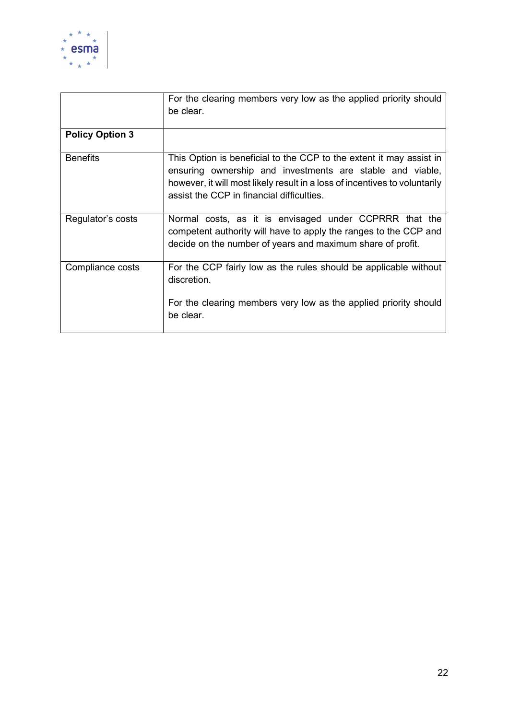

|                        | For the clearing members very low as the applied priority should<br>be clear.                                                                                                                                                                               |
|------------------------|-------------------------------------------------------------------------------------------------------------------------------------------------------------------------------------------------------------------------------------------------------------|
| <b>Policy Option 3</b> |                                                                                                                                                                                                                                                             |
| <b>Benefits</b>        | This Option is beneficial to the CCP to the extent it may assist in<br>ensuring ownership and investments are stable and viable,<br>however, it will most likely result in a loss of incentives to voluntarily<br>assist the CCP in financial difficulties. |
| Regulator's costs      | Normal costs, as it is envisaged under CCPRRR that the<br>competent authority will have to apply the ranges to the CCP and<br>decide on the number of years and maximum share of profit.                                                                    |
| Compliance costs       | For the CCP fairly low as the rules should be applicable without<br>discretion.<br>For the clearing members very low as the applied priority should<br>be clear.                                                                                            |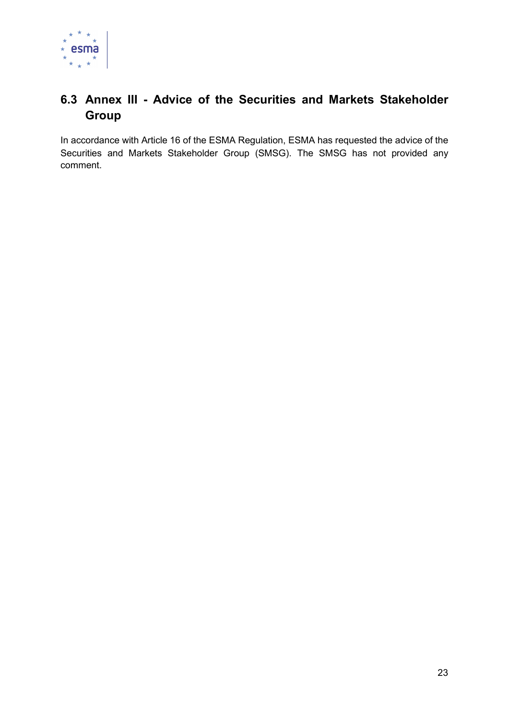

### 6.3 Annex III - Advice of the Securities and Markets Stakeholder **Group**

In accordance with Article 16 of the ESMA Regulation, ESMA has requested the advice of the Securities and Markets Stakeholder Group (SMSG). The SMSG has not provided any comment.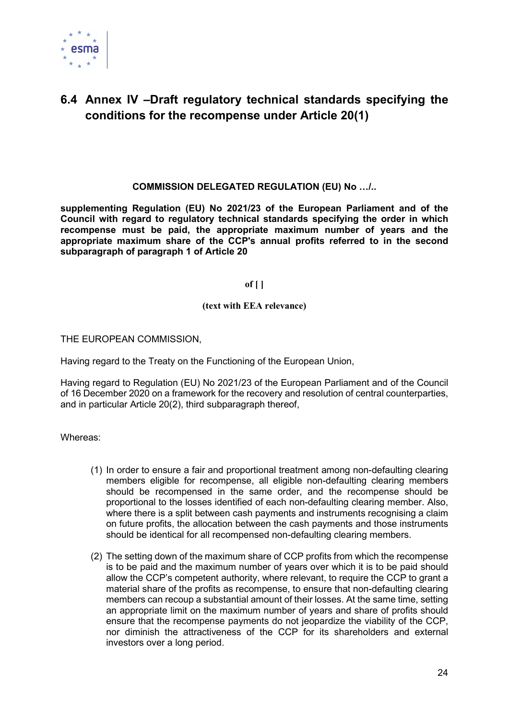

### 6.4 Annex IV –Draft regulatory technical standards specifying the conditions for the recompense under Article 20(1)

### COMMISSION DELEGATED REGULATION (EU) No …/..

supplementing Regulation (EU) No 2021/23 of the European Parliament and of the Council with regard to regulatory technical standards specifying the order in which recompense must be paid, the appropriate maximum number of years and the appropriate maximum share of the CCP's annual profits referred to in the second subparagraph of paragraph 1 of Article 20

#### of  $[ ]$

#### (text with EEA relevance)

THE EUROPEAN COMMISSION,

Having regard to the Treaty on the Functioning of the European Union,

Having regard to Regulation (EU) No 2021/23 of the European Parliament and of the Council of 16 December 2020 on a framework for the recovery and resolution of central counterparties, and in particular Article 20(2), third subparagraph thereof,

Whereas:

- (1) In order to ensure a fair and proportional treatment among non-defaulting clearing members eligible for recompense, all eligible non-defaulting clearing members should be recompensed in the same order, and the recompense should be proportional to the losses identified of each non-defaulting clearing member. Also, where there is a split between cash payments and instruments recognising a claim on future profits, the allocation between the cash payments and those instruments should be identical for all recompensed non-defaulting clearing members.
- (2) The setting down of the maximum share of CCP profits from which the recompense is to be paid and the maximum number of years over which it is to be paid should allow the CCP's competent authority, where relevant, to require the CCP to grant a material share of the profits as recompense, to ensure that non-defaulting clearing members can recoup a substantial amount of their losses. At the same time, setting an appropriate limit on the maximum number of years and share of profits should ensure that the recompense payments do not jeopardize the viability of the CCP, nor diminish the attractiveness of the CCP for its shareholders and external investors over a long period.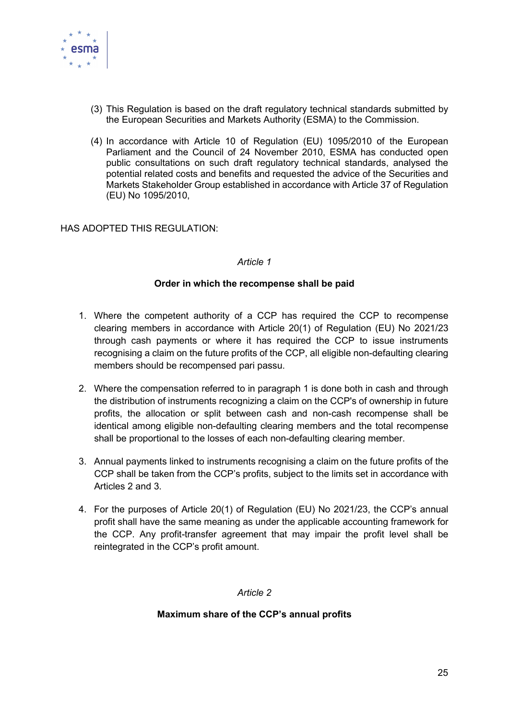

- (3) This Regulation is based on the draft regulatory technical standards submitted by the European Securities and Markets Authority (ESMA) to the Commission.
- (4) In accordance with Article 10 of Regulation (EU) 1095/2010 of the European Parliament and the Council of 24 November 2010, ESMA has conducted open public consultations on such draft regulatory technical standards, analysed the potential related costs and benefits and requested the advice of the Securities and Markets Stakeholder Group established in accordance with Article 37 of Regulation (EU) No 1095/2010,

#### HAS ADOPTED THIS REGULATION:

#### Article 1

#### Order in which the recompense shall be paid

- 1. Where the competent authority of a CCP has required the CCP to recompense clearing members in accordance with Article 20(1) of Regulation (EU) No 2021/23 through cash payments or where it has required the CCP to issue instruments recognising a claim on the future profits of the CCP, all eligible non-defaulting clearing members should be recompensed pari passu.
- 2. Where the compensation referred to in paragraph 1 is done both in cash and through the distribution of instruments recognizing a claim on the CCP's of ownership in future profits, the allocation or split between cash and non-cash recompense shall be identical among eligible non-defaulting clearing members and the total recompense shall be proportional to the losses of each non-defaulting clearing member.
- 3. Annual payments linked to instruments recognising a claim on the future profits of the CCP shall be taken from the CCP's profits, subject to the limits set in accordance with Articles 2 and 3.
- 4. For the purposes of Article 20(1) of Regulation (EU) No 2021/23, the CCP's annual profit shall have the same meaning as under the applicable accounting framework for the CCP. Any profit-transfer agreement that may impair the profit level shall be reintegrated in the CCP's profit amount.

#### Article 2

#### Maximum share of the CCP's annual profits